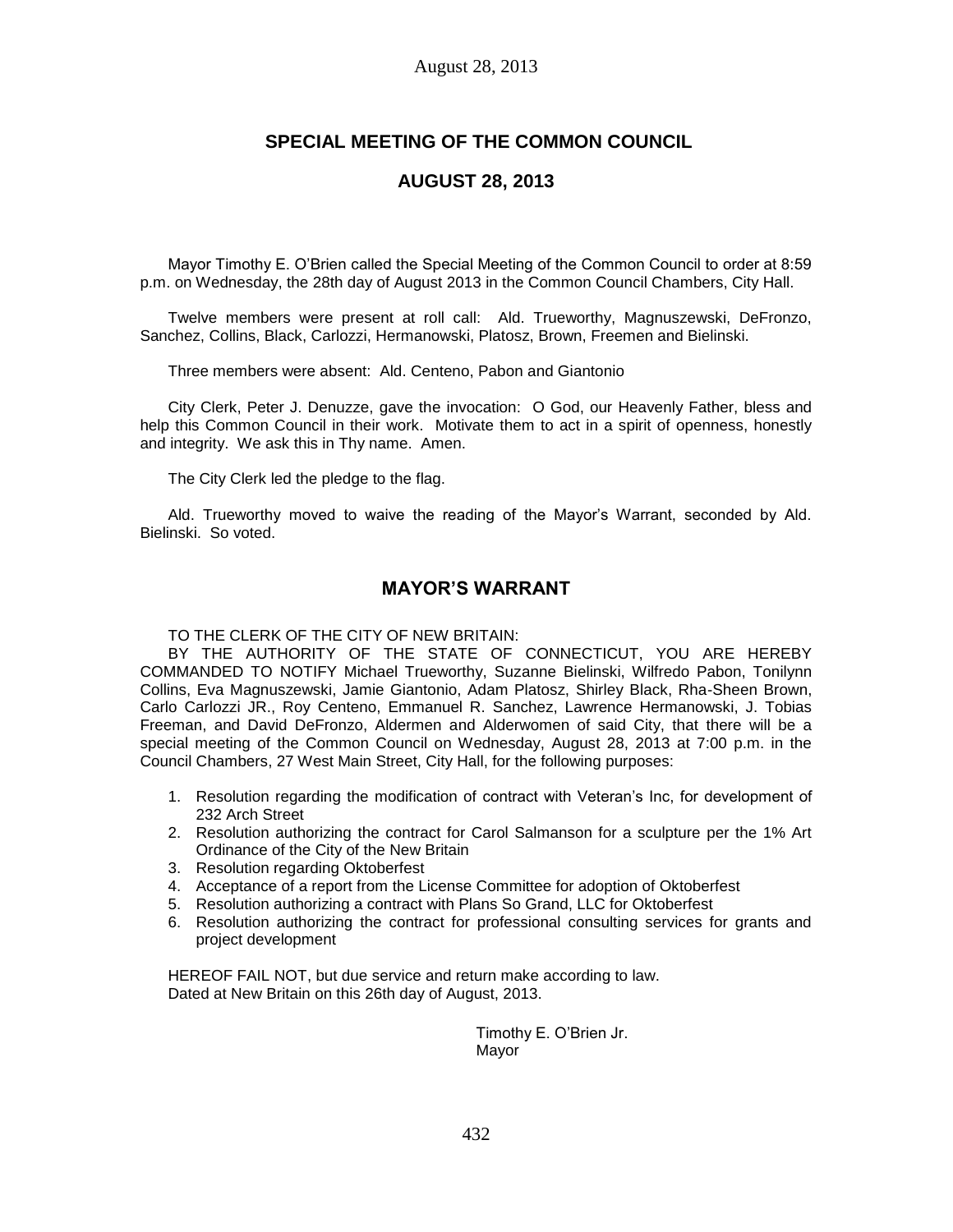# **SPECIAL MEETING OF THE COMMON COUNCIL**

# **AUGUST 28, 2013**

Mayor Timothy E. O'Brien called the Special Meeting of the Common Council to order at 8:59 p.m. on Wednesday, the 28th day of August 2013 in the Common Council Chambers, City Hall.

Twelve members were present at roll call: Ald. Trueworthy, Magnuszewski, DeFronzo, Sanchez, Collins, Black, Carlozzi, Hermanowski, Platosz, Brown, Freemen and Bielinski.

Three members were absent: Ald. Centeno, Pabon and Giantonio

City Clerk, Peter J. Denuzze, gave the invocation: O God, our Heavenly Father, bless and help this Common Council in their work. Motivate them to act in a spirit of openness, honestly and integrity. We ask this in Thy name. Amen.

The City Clerk led the pledge to the flag.

Ald. Trueworthy moved to waive the reading of the Mayor's Warrant, seconded by Ald. Bielinski. So voted.

# **MAYOR'S WARRANT**

TO THE CLERK OF THE CITY OF NEW BRITAIN:

BY THE AUTHORITY OF THE STATE OF CONNECTICUT, YOU ARE HEREBY COMMANDED TO NOTIFY Michael Trueworthy, Suzanne Bielinski, Wilfredo Pabon, Tonilynn Collins, Eva Magnuszewski, Jamie Giantonio, Adam Platosz, Shirley Black, Rha-Sheen Brown, Carlo Carlozzi JR., Roy Centeno, Emmanuel R. Sanchez, Lawrence Hermanowski, J. Tobias Freeman, and David DeFronzo, Aldermen and Alderwomen of said City, that there will be a special meeting of the Common Council on Wednesday, August 28, 2013 at 7:00 p.m. in the Council Chambers, 27 West Main Street, City Hall, for the following purposes:

- 1. Resolution regarding the modification of contract with Veteran's Inc, for development of 232 Arch Street
- 2. Resolution authorizing the contract for Carol Salmanson for a sculpture per the 1% Art Ordinance of the City of the New Britain
- 3. Resolution regarding Oktoberfest
- 4. Acceptance of a report from the License Committee for adoption of Oktoberfest
- 5. Resolution authorizing a contract with Plans So Grand, LLC for Oktoberfest
- 6. Resolution authorizing the contract for professional consulting services for grants and project development

HEREOF FAIL NOT, but due service and return make according to law. Dated at New Britain on this 26th day of August, 2013.

> Timothy E. O'Brien Jr. Mayor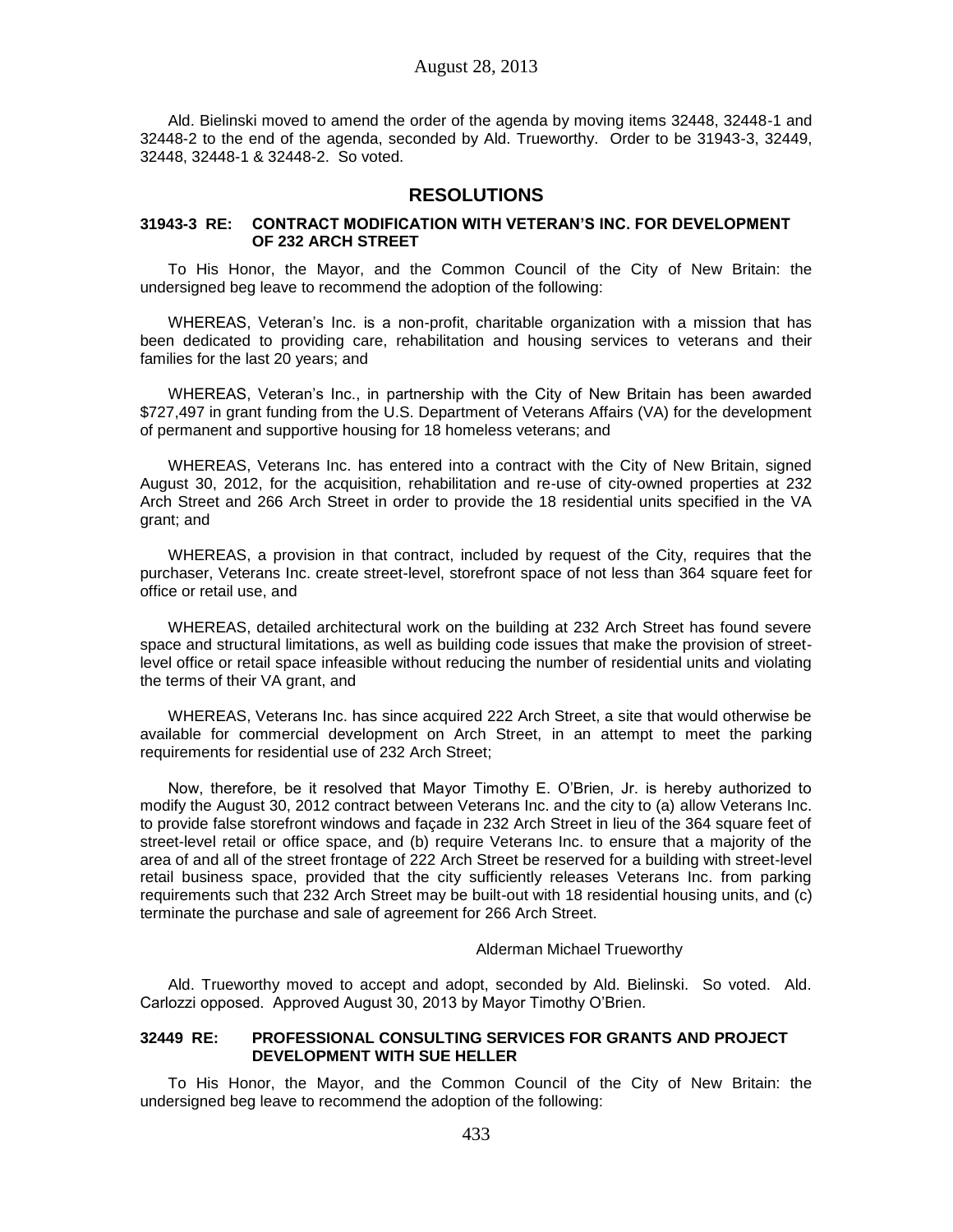Ald. Bielinski moved to amend the order of the agenda by moving items 32448, 32448-1 and 32448-2 to the end of the agenda, seconded by Ald. Trueworthy. Order to be 31943-3, 32449, 32448, 32448-1 & 32448-2. So voted.

## **RESOLUTIONS**

## **31943-3 RE: CONTRACT MODIFICATION WITH VETERAN'S INC. FOR DEVELOPMENT OF 232 ARCH STREET**

To His Honor, the Mayor, and the Common Council of the City of New Britain: the undersigned beg leave to recommend the adoption of the following:

WHEREAS, Veteran's Inc. is a non-profit, charitable organization with a mission that has been dedicated to providing care, rehabilitation and housing services to veterans and their families for the last 20 years; and

WHEREAS, Veteran's Inc., in partnership with the City of New Britain has been awarded \$727,497 in grant funding from the U.S. Department of Veterans Affairs (VA) for the development of permanent and supportive housing for 18 homeless veterans; and

WHEREAS, Veterans Inc. has entered into a contract with the City of New Britain, signed August 30, 2012, for the acquisition, rehabilitation and re-use of city-owned properties at 232 Arch Street and 266 Arch Street in order to provide the 18 residential units specified in the VA grant; and

WHEREAS, a provision in that contract, included by request of the City, requires that the purchaser, Veterans Inc. create street-level, storefront space of not less than 364 square feet for office or retail use, and

WHEREAS, detailed architectural work on the building at 232 Arch Street has found severe space and structural limitations, as well as building code issues that make the provision of streetlevel office or retail space infeasible without reducing the number of residential units and violating the terms of their VA grant, and

WHEREAS, Veterans Inc. has since acquired 222 Arch Street, a site that would otherwise be available for commercial development on Arch Street, in an attempt to meet the parking requirements for residential use of 232 Arch Street;

Now, therefore, be it resolved that Mayor Timothy E. O'Brien, Jr. is hereby authorized to modify the August 30, 2012 contract between Veterans Inc. and the city to (a) allow Veterans Inc. to provide false storefront windows and façade in 232 Arch Street in lieu of the 364 square feet of street-level retail or office space, and (b) require Veterans Inc. to ensure that a majority of the area of and all of the street frontage of 222 Arch Street be reserved for a building with street-level retail business space, provided that the city sufficiently releases Veterans Inc. from parking requirements such that 232 Arch Street may be built-out with 18 residential housing units, and (c) terminate the purchase and sale of agreement for 266 Arch Street.

## Alderman Michael Trueworthy

Ald. Trueworthy moved to accept and adopt, seconded by Ald. Bielinski. So voted. Ald. Carlozzi opposed. Approved August 30, 2013 by Mayor Timothy O'Brien.

## **32449 RE: PROFESSIONAL CONSULTING SERVICES FOR GRANTS AND PROJECT DEVELOPMENT WITH SUE HELLER**

To His Honor, the Mayor, and the Common Council of the City of New Britain: the undersigned beg leave to recommend the adoption of the following: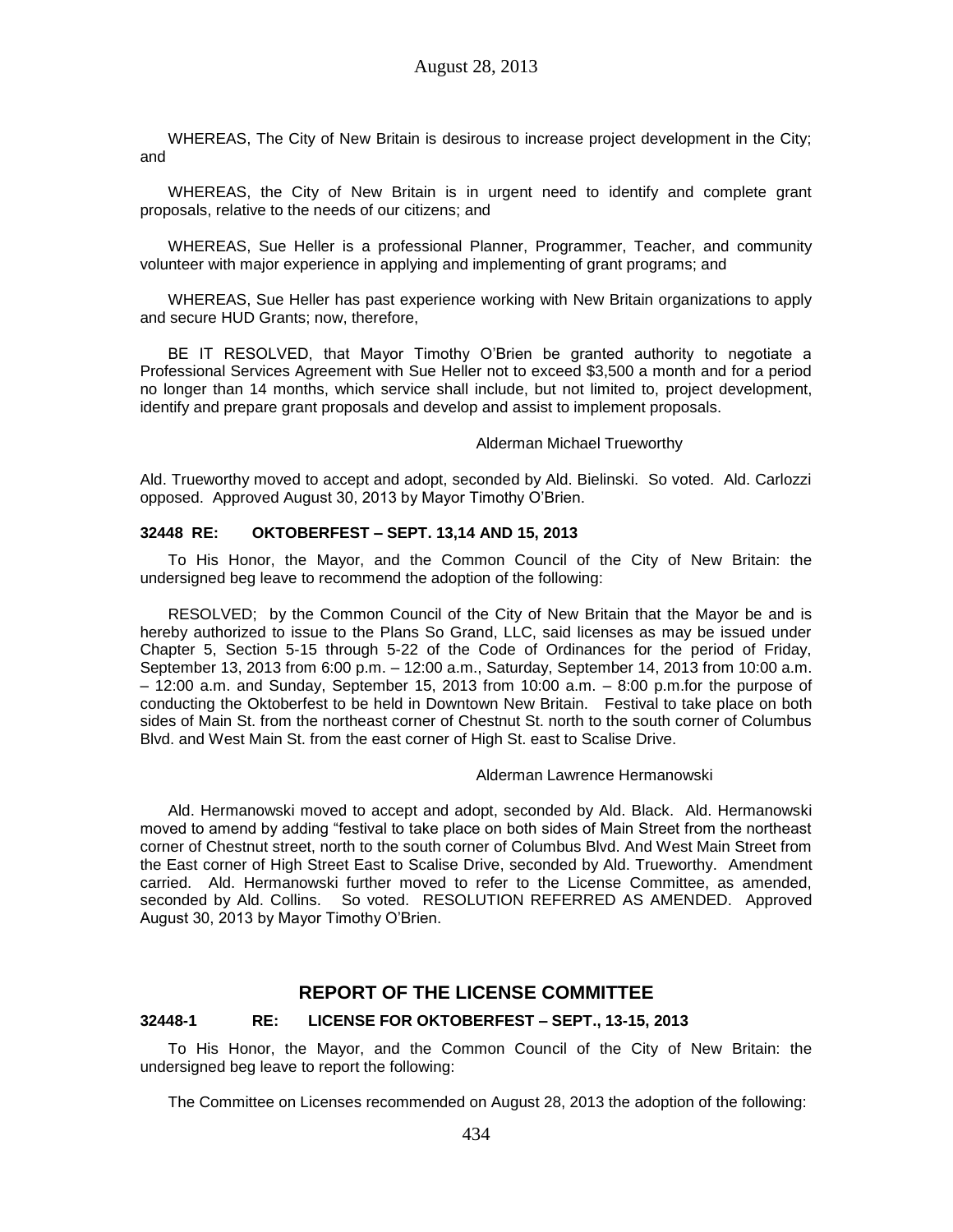WHEREAS, The City of New Britain is desirous to increase project development in the City; and

WHEREAS, the City of New Britain is in urgent need to identify and complete grant proposals, relative to the needs of our citizens; and

WHEREAS, Sue Heller is a professional Planner, Programmer, Teacher, and community volunteer with major experience in applying and implementing of grant programs; and

WHEREAS, Sue Heller has past experience working with New Britain organizations to apply and secure HUD Grants; now, therefore,

BE IT RESOLVED, that Mayor Timothy O'Brien be granted authority to negotiate a Professional Services Agreement with Sue Heller not to exceed \$3,500 a month and for a period no longer than 14 months, which service shall include, but not limited to, project development, identify and prepare grant proposals and develop and assist to implement proposals.

#### Alderman Michael Trueworthy

Ald. Trueworthy moved to accept and adopt, seconded by Ald. Bielinski. So voted. Ald. Carlozzi opposed. Approved August 30, 2013 by Mayor Timothy O'Brien.

### **32448 RE: OKTOBERFEST – SEPT. 13,14 AND 15, 2013**

To His Honor, the Mayor, and the Common Council of the City of New Britain: the undersigned beg leave to recommend the adoption of the following:

RESOLVED; by the Common Council of the City of New Britain that the Mayor be and is hereby authorized to issue to the Plans So Grand, LLC, said licenses as may be issued under Chapter 5, Section 5-15 through 5-22 of the Code of Ordinances for the period of Friday, September 13, 2013 from 6:00 p.m. – 12:00 a.m., Saturday, September 14, 2013 from 10:00 a.m. – 12:00 a.m. and Sunday, September 15, 2013 from 10:00 a.m. – 8:00 p.m.for the purpose of conducting the Oktoberfest to be held in Downtown New Britain. Festival to take place on both sides of Main St. from the northeast corner of Chestnut St. north to the south corner of Columbus Blvd. and West Main St. from the east corner of High St. east to Scalise Drive.

#### Alderman Lawrence Hermanowski

Ald. Hermanowski moved to accept and adopt, seconded by Ald. Black. Ald. Hermanowski moved to amend by adding "festival to take place on both sides of Main Street from the northeast corner of Chestnut street, north to the south corner of Columbus Blvd. And West Main Street from the East corner of High Street East to Scalise Drive, seconded by Ald. Trueworthy. Amendment carried. Ald. Hermanowski further moved to refer to the License Committee, as amended, seconded by Ald. Collins. So voted. RESOLUTION REFERRED AS AMENDED. Approved August 30, 2013 by Mayor Timothy O'Brien.

# **REPORT OF THE LICENSE COMMITTEE**

#### **32448-1 RE: LICENSE FOR OKTOBERFEST – SEPT., 13-15, 2013**

To His Honor, the Mayor, and the Common Council of the City of New Britain: the undersigned beg leave to report the following:

The Committee on Licenses recommended on August 28, 2013 the adoption of the following: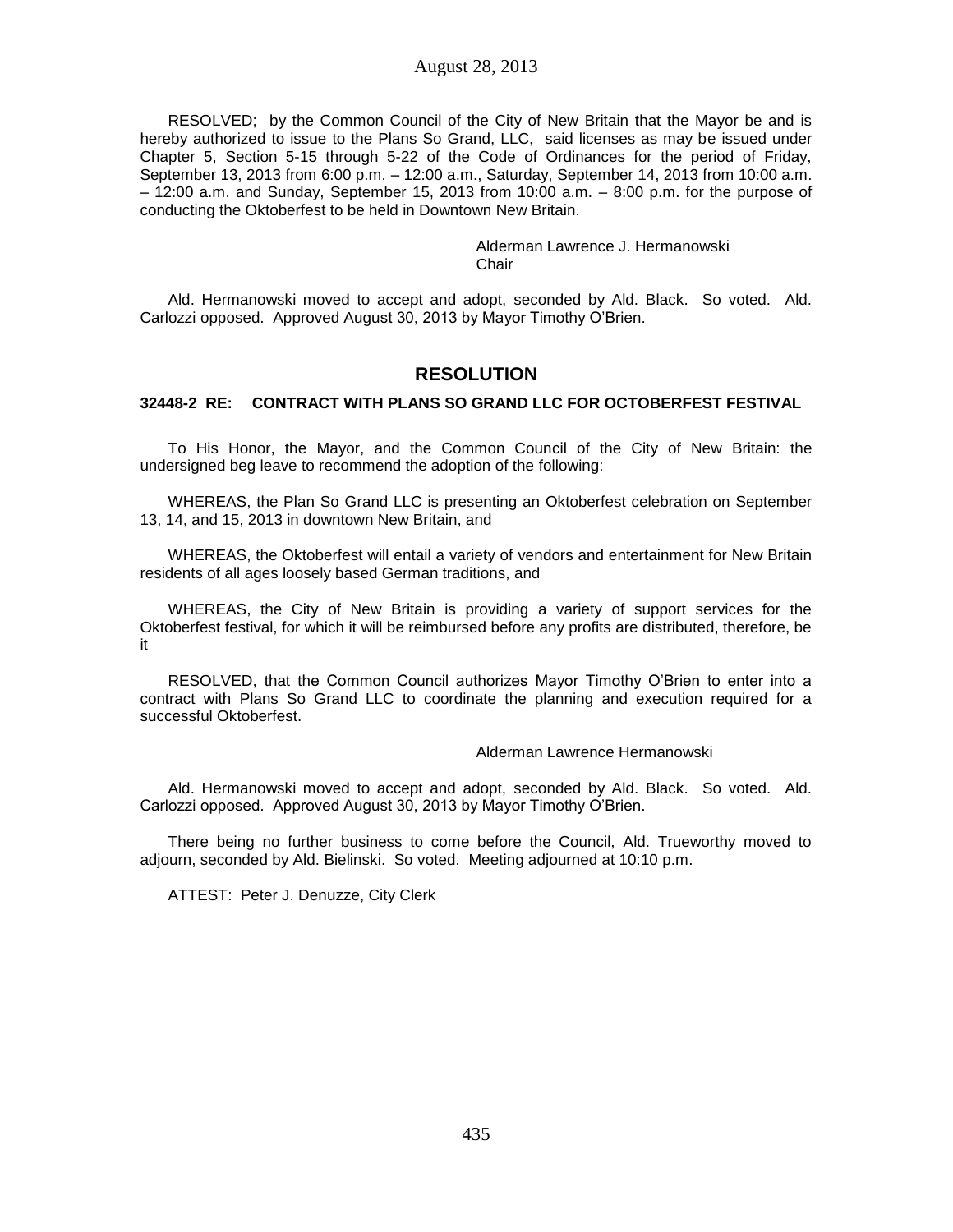RESOLVED; by the Common Council of the City of New Britain that the Mayor be and is hereby authorized to issue to the Plans So Grand, LLC, said licenses as may be issued under Chapter 5, Section 5-15 through 5-22 of the Code of Ordinances for the period of Friday, September 13, 2013 from 6:00 p.m. – 12:00 a.m., Saturday, September 14, 2013 from 10:00 a.m. – 12:00 a.m. and Sunday, September 15, 2013 from 10:00 a.m. – 8:00 p.m. for the purpose of conducting the Oktoberfest to be held in Downtown New Britain.

> Alderman Lawrence J. Hermanowski Chair

Ald. Hermanowski moved to accept and adopt, seconded by Ald. Black. So voted. Ald. Carlozzi opposed. Approved August 30, 2013 by Mayor Timothy O'Brien.

# **RESOLUTION**

## **32448-2 RE: CONTRACT WITH PLANS SO GRAND LLC FOR OCTOBERFEST FESTIVAL**

To His Honor, the Mayor, and the Common Council of the City of New Britain: the undersigned beg leave to recommend the adoption of the following:

WHEREAS, the Plan So Grand LLC is presenting an Oktoberfest celebration on September 13, 14, and 15, 2013 in downtown New Britain, and

WHEREAS, the Oktoberfest will entail a variety of vendors and entertainment for New Britain residents of all ages loosely based German traditions, and

WHEREAS, the City of New Britain is providing a variety of support services for the Oktoberfest festival, for which it will be reimbursed before any profits are distributed, therefore, be it

RESOLVED, that the Common Council authorizes Mayor Timothy O'Brien to enter into a contract with Plans So Grand LLC to coordinate the planning and execution required for a successful Oktoberfest.

#### Alderman Lawrence Hermanowski

Ald. Hermanowski moved to accept and adopt, seconded by Ald. Black. So voted. Ald. Carlozzi opposed. Approved August 30, 2013 by Mayor Timothy O'Brien.

There being no further business to come before the Council, Ald. Trueworthy moved to adjourn, seconded by Ald. Bielinski. So voted. Meeting adjourned at 10:10 p.m.

ATTEST: Peter J. Denuzze, City Clerk